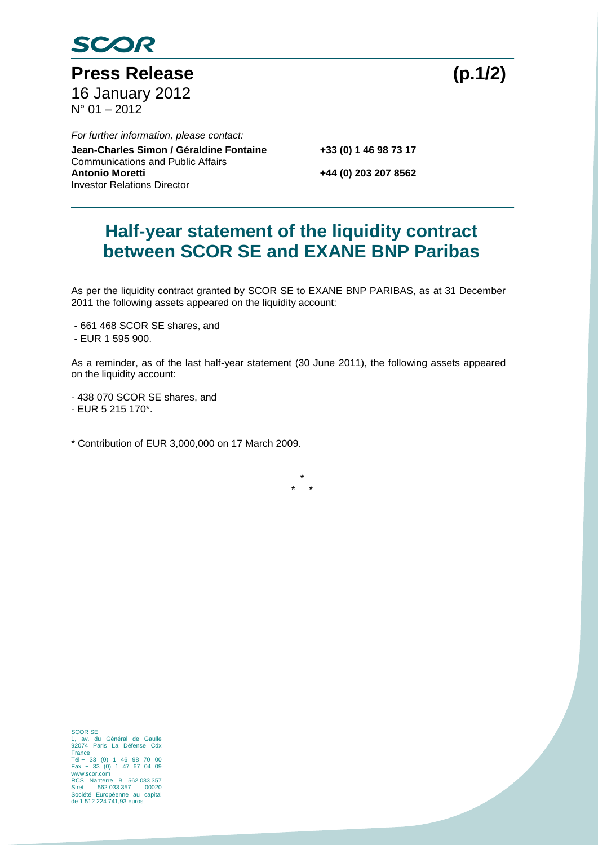

Press Release (p.1/2) 16 January 2012  $N^{\circ}$  01 – 2012

Co **Jean-Charles Simon / Géraldine Fontaine +33 (0) 1 46 98 73 17** *For further information, please contact:* Communications and Public Affairs<br>**Antonio Moretti** Investor Relations Director

**Antonio Moretti +44 (0) 203 207 8562**

## **Half-year statement of the liquidity contract between SCOR SE and EXANE BNP Paribas**

As per the liquidity contract granted by SCOR SE to EXANE BNP PARIBAS, as at 31 December 2011 the following assets appeared on the liquidity account:

- 661 468 SCOR SE shares, and
- EUR 1 595 900.

As a reminder, as of the last half-year statement (30 June 2011), the following assets appeared on the liquidity account:

- 438 070 SCOR SE shares, and

- EUR 5 215 170\*.
- \* Contribution of EUR 3,000,000 on 17 March 2009.

\* \* \*